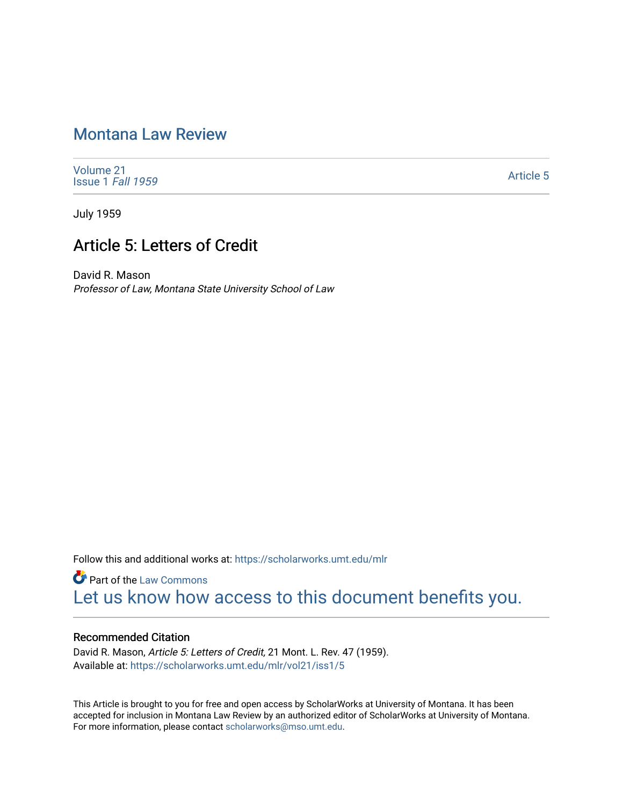## [Montana Law Review](https://scholarworks.umt.edu/mlr)

[Volume 21](https://scholarworks.umt.edu/mlr/vol21) [Issue 1](https://scholarworks.umt.edu/mlr/vol21/iss1) Fall 1959

[Article 5](https://scholarworks.umt.edu/mlr/vol21/iss1/5) 

July 1959

## Article 5: Letters of Credit

David R. Mason Professor of Law, Montana State University School of Law

Follow this and additional works at: [https://scholarworks.umt.edu/mlr](https://scholarworks.umt.edu/mlr?utm_source=scholarworks.umt.edu%2Fmlr%2Fvol21%2Fiss1%2F5&utm_medium=PDF&utm_campaign=PDFCoverPages) 

**Part of the [Law Commons](http://network.bepress.com/hgg/discipline/578?utm_source=scholarworks.umt.edu%2Fmlr%2Fvol21%2Fiss1%2F5&utm_medium=PDF&utm_campaign=PDFCoverPages)** [Let us know how access to this document benefits you.](https://goo.gl/forms/s2rGfXOLzz71qgsB2) 

## Recommended Citation

David R. Mason, Article 5: Letters of Credit, 21 Mont. L. Rev. 47 (1959). Available at: [https://scholarworks.umt.edu/mlr/vol21/iss1/5](https://scholarworks.umt.edu/mlr/vol21/iss1/5?utm_source=scholarworks.umt.edu%2Fmlr%2Fvol21%2Fiss1%2F5&utm_medium=PDF&utm_campaign=PDFCoverPages) 

This Article is brought to you for free and open access by ScholarWorks at University of Montana. It has been accepted for inclusion in Montana Law Review by an authorized editor of ScholarWorks at University of Montana. For more information, please contact [scholarworks@mso.umt.edu.](mailto:scholarworks@mso.umt.edu)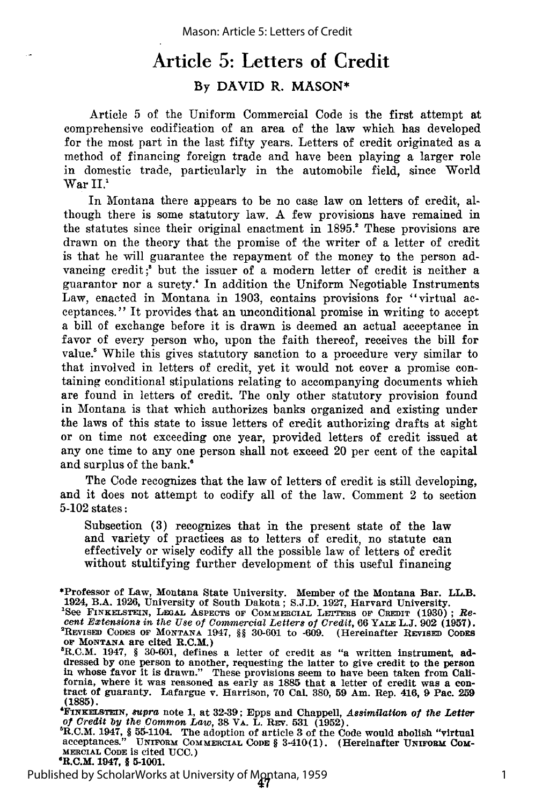## Article **5:** Letters of Credit By DAVID R. MASON\*

Article 5 of the Uniform Commercial Code is the first attempt at comprehensive codification of an area of the law which has developed for the most part in the last fifty years. Letters of credit originated as a method of financing foreign trade and have been playing a larger role in domestic trade, particularly in the automobile field, since World  $\operatorname{War} \, \mathrm{II}.^1$ 

In Montana there appears to be no case law on letters of credit, although there is some statutory law. A few provisions have remained in the statutes since their original enactment in 1895." These provisions are drawn on the theory that the promise of the writer of a letter of credit is that he will guarantee the repayment of the money to the person advancing credit;<sup>3</sup> but the issuer of a modern letter of credit is neither a guarantor nor a surety.' In addition the Uniform Negotiable Instruments Law, enacted in Montana in 1903, contains provisions for "virtual acceptances." It provides that an unconditional promise in writing to accept a bill of exchange before it is drawn is deemed an actual acceptance in favor of every person who, upon the faith thereof, receives the bill for value.' While this gives statutory sanction to a procedure very similar to that involved in letters of credit, yet it would not cover a promise containing conditional stipulations relating to accompanying documents which are found in letters of credit. The only other statutory provision found in Montana is that which authorizes banks organized and existing under the laws of this state to issue letters of credit authorizing drafts at sight or on time not exceeding one year, provided letters of credit issued at any one time to any one person shall not exceed 20 per cent of the capital and surplus of the bank."

The Code recognizes that the law of letters of credit is still developing, and it does not attempt to codify all of the law. Comment 2 to section 5-102 states:

Subsection (3) recognizes that in the present state of the law and variety of practices as to letters of credit, no statute can effectively or wisely codify all the possible law of letters of credit without stultifying further development of this useful financing

Published by ScholarWorks at University of Montana, 1959

1

<sup>\*</sup>Professor of Law, Montana State University. Member of the Montana Bar. **LL.B.** 1924, B.A. 1926, University of South Dakota; S.J.D. 1927, Harvard University. **'See FINKELsTrEIN,** LEGAL ASPECTS **OF** COMMERCIAL **Lr'-rmS OF** CREDIT **(1930) ;** *Re-***CONVERGED, INSTELLY ARE CONVERGED OF CONVERGED OF CREDIT (1930); Recent Extensions in the Use of Commercial Letters of Credit, 66 YALE L.J. 902 (1957).<br>
<sup>2</sup>REVISED CODES OF MONTANA 1947, §§ 30-601 to -609. (Hereinafter RE** OF MONTANA are cited R.C.M.)

R.C.M. 1947, § **30-601,** defines a letter of credit as "a written instrument, **ad**dressed **by** one person to another, requesting **the** latter to give credit to the person **in whose** favor it **is** drawn." These provisions seem to have been taken from California, where it was reasoned as early as **1885** that a letter of credit **was** a **con-** tract of guaranty. Lafargue v. Harrison, **70 Cal 380, 59** Am. Rep. 416, **9** Pac. **<sup>259</sup> (1885).**

**<sup>&#</sup>x27;FINKELSTEIN, supra** note 1, at 32-39; Epps and Chappell, *Assimilation of the Letter* of Credit by the Common Law, 38 VA. L. REV. 531 (1952).

of Credit by the Common Law, 38 VA. L. REV. 531 (1952).<br>
"R.C.M. 1947, § 55-1104. The adoption of article 3 of the Code would abolish "virtual<br>
acceptances." UNIFORM COMMERCIAL CODE § 3-410(1). (Hereinafter UNIFORM COM-**MERCIAL CODE is** cited **UCC.)** 4R.C.M. 1947, § **5-1001.**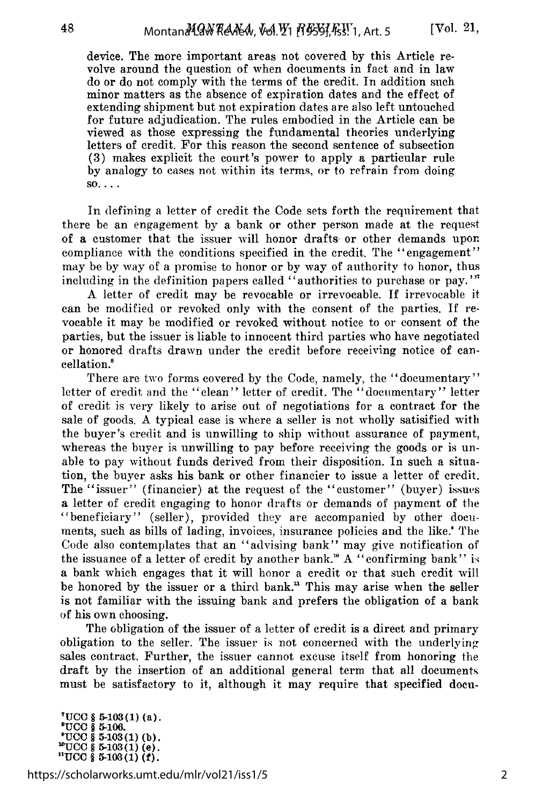device. The more important areas not covered by this Article revolve around the question of when documents in fact and in law do or do not comply with the terms of the credit. In addition such minor matters as the absence of expiration dates and the effect of extending shipment but not expiration dates are also left untouched for future adjudication. The rules embodied in the Article can be viewed as those expressing the fundamental theories underlying letters of credit. For this reason the second sentence of subsection (3) makes explicit the court's power to apply a particular rule by analogy to cases not within its terms, or to refrain from doing  $\text{SO}$ ...

In defining a letter of credit the Code sets forth the requirement that there be an engagement by a bank or other person made at the request of a customer that the issuer will honor drafts or other demands upon compliance with the conditions specified in the credit. The "engagement" may be by way of a promise to honor or by way of authority to honor, thus including in the definition papers called "authorities to purchase or pay.'"

A letter of credit may be revocable or irrevocable. If irrevocable it can be modified or revoked only with the consent of the parties. If revocable it may be modified or revoked without notice to or consent of the parties, but the issuer is liable to innocent third parties who have negotiated or honored drafts drawn under the credit before receiving notice of cancellation.'

There are two forms covered by the Code, namely, the "documentary" letter of credit and the "clean" letter of credit. The "documentary" letter of credit is very likely to arise out of negotiations for a contract for the sale of goods. A typical case is where a seller is not wholly satisified with the buyer's credit and is unwilling to ship without assurance of payment, whereas the buyer is unwilling to pay before receiving the goods or is unable to pay without funds derived from their disposition. In such a situation, the buyer asks his bank or other financier to issue a letter of credit. The "issuer" (financier) at the request of the "customer" (buyer) issues a letter of credit engaging to honor drafts or demands of payment of the "beneficiary" (seller), provided they are accompanied by other documents, such as bills of lading, invoices, insurance policies and the like.' The Code also contemplates that an "advising bank" may give notification of the issuance of a letter of credit by another bank." A "confirming bank" is a bank which engages that it will honor a credit or that such credit will be honored by the issuer or a third bank." This may arise when the seller is not familiar with the issuing bank and prefers the obligation of a bank of his own choosing.

The obligation of the issuer of a letter of credit is a direct and primary obligation to the seller. The issuer is not concerned with the underlying sales contract. Further, the issuer cannot excuse itself from honoring the draft by the insertion of an additional general term that all documents must be satisfactory to it, although it may require that specified docu-

**7UCC** § **5-103(1)** (a). **OUCC** § **5-106.**  $"UCC$   $$$   $$5-103(1) (b)$ .<br>"UCC  $$5-103(1) (e)$ . **"UCC** § 5-103(1) (f).

https://scholarworks.umt.edu/mlr/vol21/iss1/5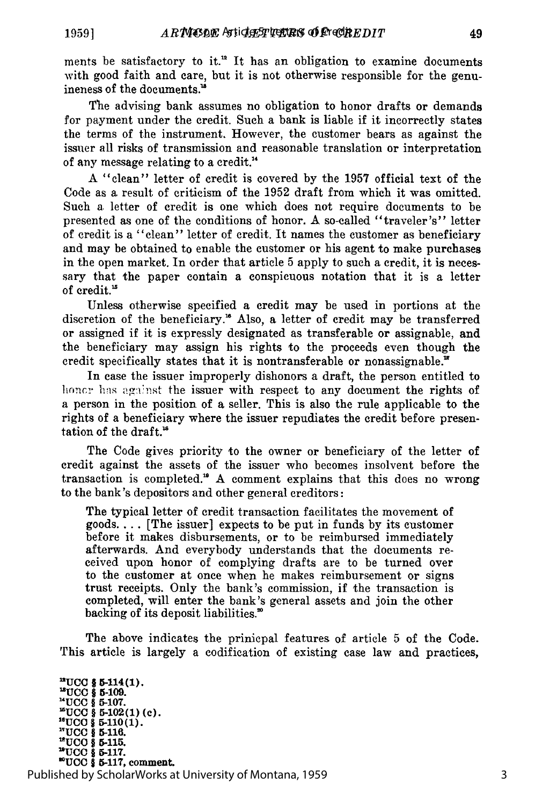ments be satisfactory to it.<sup>12</sup> It has an obligation to examine documents with good faith and care, but it is not otherwise responsible for the genuineness of the documents.'

The advising bank assumes no obligation to honor drafts or demands for payment under the credit. Such a bank is liable if it incorrectly states the terms of the instrument. However, the customer bears as against the issuer all risks of transmission and reasonable translation or interpretation of any message relating to a credit. '

A "clean" letter of credit is covered by the 1957 official text of the Code as a result of criticism of the 1952 draft from which it was omitted. Such a letter of credit is one which does not require documents to be presented as one of the conditions of honor. A so-called "traveler's" letter of credit is a "clean" letter of credit. It names the customer as beneficiary and may be obtained to enable the customer or his agent to make purchases in the open market. In order that article 5 apply to such a credit, it is necessary that the paper contain a conspicuous notation that it is a letter of credit.<sup>15</sup>

Unless otherwise specified a credit may be used in portions at the discretion of the beneficiary.<sup>16</sup> Also, a letter of credit may be transferred or assigned if it is expressly designated as transferable or assignable, and the beneficiary may assign his rights to the proceeds even though the credit specifically states that it is nontransferable or nonassignable.<sup>"</sup>

In case the issuer improperly dishonors a draft, the person entitled to honcr has against the issuer with respect to any document the rights of a person in the position of a seller. This is also the rule applicable to the rights of a beneficiary where the issuer repudiates the credit before presentation of the draft.<sup>18</sup>

The Code gives priority to the owner or beneficiary of the letter of credit against the assets of the issuer who becomes insolvent before the transaction is completed." A comment explains that this does no wrong to the bank's depositors and other general creditors:

The typical letter of credit transaction facilitates the movement of goods.... [The issuer] expects to be put in funds by its customer before it makes disbursements, or to be reimbursed immediately afterwards. And everybody understands that the documents received upon honor of complying drafts are to be turned over to the customer at once when he makes reimbursement or signs trust receipts. Only the bank's commission, if the transaction is completed, will enter the bank's general assets and join the other backing of its deposit liabilities.'

The above indicates the prinicpal features of article 5 of the Code. This article is largely a codification of existing case law and practices,

**"UCC** *5* **5-114(1). "UCC § 5-109. -UCC §** 5-107. **'UCC** § 5-102(1) **(c). i"UCC §** 5-110(1). **"UCC** § **5-116.** "UCO *9* **5-115. "1UCC** *§* **5-117. "UCC** *§* **5-117,** comment. Published by ScholarWorks at University of Montana, 1959